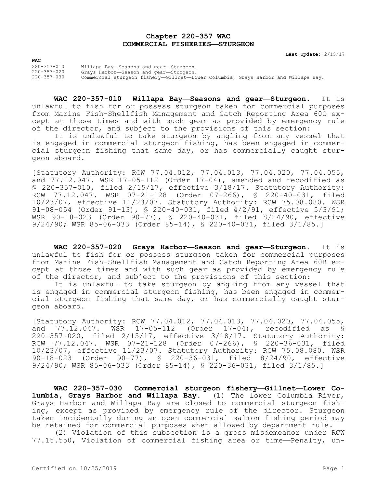## **Chapter 220-357 WAC COMMERCIAL FISHERIES—STURGEON**

**Last Update:** 2/15/17

**WAC**

220-357-010 Willapa Bay—Seasons and gear—Sturgeon. 220-357-020 Grays Harbor—Season and gear—Sturgeon. 220-357-030 Commercial sturgeon fishery—Gillnet—Lower Columbia, Grays Harbor and Willapa Bay.

**WAC 220-357-010 Willapa Bay—Seasons and gear—Sturgeon.** It is unlawful to fish for or possess sturgeon taken for commercial purposes from Marine Fish-Shellfish Management and Catch Reporting Area 60C except at those times and with such gear as provided by emergency rule of the director, and subject to the provisions of this section:

It is unlawful to take sturgeon by angling from any vessel that is engaged in commercial sturgeon fishing, has been engaged in commercial sturgeon fishing that same day, or has commercially caught sturgeon aboard.

[Statutory Authority: RCW 77.04.012, 77.04.013, 77.04.020, 77.04.055, and 77.12.047. WSR 17-05-112 (Order 17-04), amended and recodified as § 220-357-010, filed 2/15/17, effective 3/18/17. Statutory Authority: RCW 77.12.047. WSR 07-21-128 (Order 07-266), § 220-40-031, filed 10/23/07, effective 11/23/07. Statutory Authority: RCW 75.08.080. WSR 91-08-054 (Order 91-13), § 220-40-031, filed 4/2/91, effective 5/3/91; WSR 90-18-023 (Order 90-77), § 220-40-031, filed 8/24/90, effective 9/24/90; WSR 85-06-033 (Order 85-14), § 220-40-031, filed 3/1/85.]

**WAC 220-357-020 Grays Harbor—Season and gear—Sturgeon.** It is unlawful to fish for or possess sturgeon taken for commercial purposes from Marine Fish-Shellfish Management and Catch Reporting Area 60B except at those times and with such gear as provided by emergency rule of the director, and subject to the provisions of this section:

It is unlawful to take sturgeon by angling from any vessel that is engaged in commercial sturgeon fishing, has been engaged in commercial sturgeon fishing that same day, or has commercially caught sturgeon aboard.

[Statutory Authority: RCW 77.04.012, 77.04.013, 77.04.020, 77.04.055, and 77.12.047. WSR 17-05-112 (Order 17-04), recodified as § 220-357-020, filed 2/15/17, effective 3/18/17. Statutory Authority: RCW 77.12.047. WSR 07-21-128 (Order 07-266), § 220-36-031, filed 10/23/07, effective 11/23/07. Statutory Authority: RCW 75.08.080. WSR 90-18-023 (Order 90-77), § 220-36-031, filed 8/24/90, effective 9/24/90; WSR 85-06-033 (Order 85-14), § 220-36-031, filed 3/1/85.]

**WAC 220-357-030 Commercial sturgeon fishery—Gillnet—Lower Columbia, Grays Harbor and Willapa Bay.** (1) The lower Columbia River, Grays Harbor and Willapa Bay are closed to commercial sturgeon fishing, except as provided by emergency rule of the director. Sturgeon taken incidentally during an open commercial salmon fishing period may be retained for commercial purposes when allowed by department rule.

(2) Violation of this subsection is a gross misdemeanor under RCW 77.15.550, Violation of commercial fishing area or time—Penalty, un